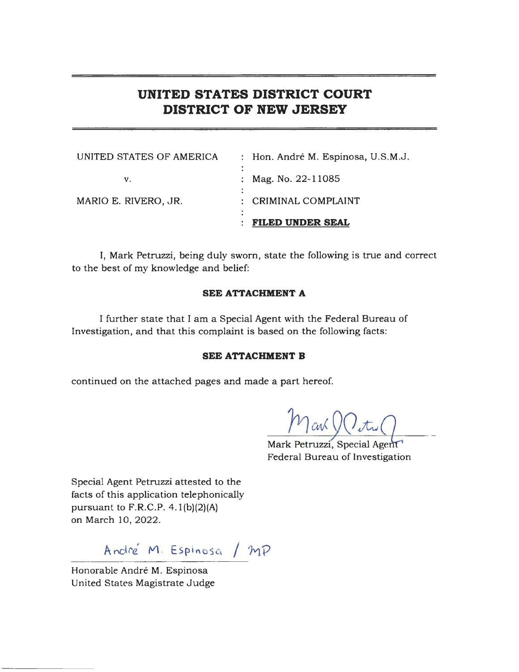# **UNITED STATES DISTRICT COURT DISTRICT OF NEW JERSEY**

|                          | <b>FILED UNDER SEAL</b>            |
|--------------------------|------------------------------------|
| MARIO E. RIVERO, JR.     | : CRIMINAL COMPLAINT               |
| V.                       | : Mag. No. $22 - 11085$            |
| UNITED STATES OF AMERICA | : Hon. André M. Espinosa, U.S.M.J. |

I, Mark Petruzzi, being duly sworn, state the following is true and correct to the best of my knowledge and belief:

# **SEE ATTACHMENT A**

I further state that I am a Special Agent with the Federal Bureau of Investigation, and that this complaint is based on the following facts:

# **SEE ATTACHMENT B**

continued on the attached pages and made a part hereof.

Marl

Mark Petruzzi, Special Agent Federal Bureau of Investigation

Special Agent Petruzzi attested to the facts of this application telephonically pursuant to  $F.R.C.P. 4.1(b)(2)(A)$ on March 10, 2022.

André M. Espinosa / MP

Honorable André M. Espinosa United States Magistrate Judge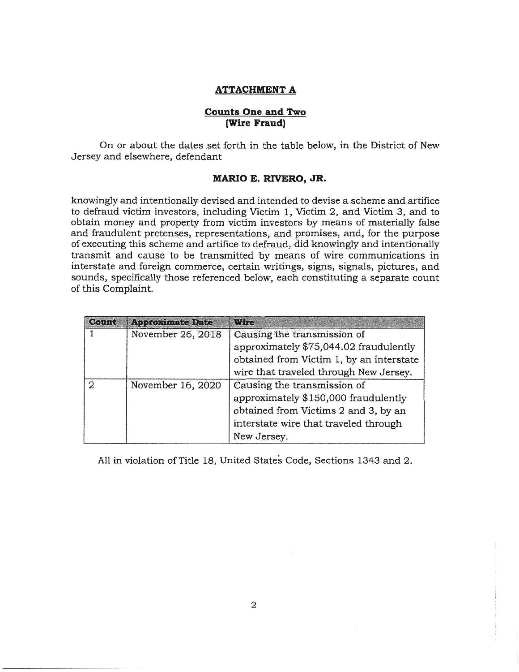# **ATTACHMENT A**

## **Counts One and Two (Wire Fraud)**

On or about the dates set {orth in the table below, in the District of New Jersey and elsewhere, defendant

# **MARIO E. RIVERO, JR.**

knowingly and intentionally devised and intended to devise a scheme and artifice to defraud victim investors, including Victim 1, Victim 2, and Victim 3, and to obtain money and property from victim investors by means of materially false and fraudulent pretenses, representations, and promises, and, for the purpose of executing this scheme and artifice to defraud. did knowingly and intentionally transmit and cause to be transmitted by means of wire communications in interstate and foreign commerce, certain writings, signs, signals, pictures, and sounds, specifically those referenced below, each constituting a separate count of this Complaint.

| Count                  | <b>Approximate Date</b>                  | Wire                                   |
|------------------------|------------------------------------------|----------------------------------------|
|                        | November 26, 2018                        | Causing the transmission of            |
|                        |                                          | approximately \$75,044.02 fraudulently |
|                        | obtained from Victim 1, by an interstate |                                        |
|                        |                                          | wire that traveled through New Jersey. |
| November 16, 2020<br>2 | Causing the transmission of              |                                        |
|                        |                                          | approximately \$150,000 fraudulently   |
|                        | obtained from Victims 2 and 3, by an     |                                        |
|                        |                                          | interstate wire that traveled through  |
|                        |                                          | New Jersey.                            |

All in violation of Title 18, United States Code, Sections 1343 and 2.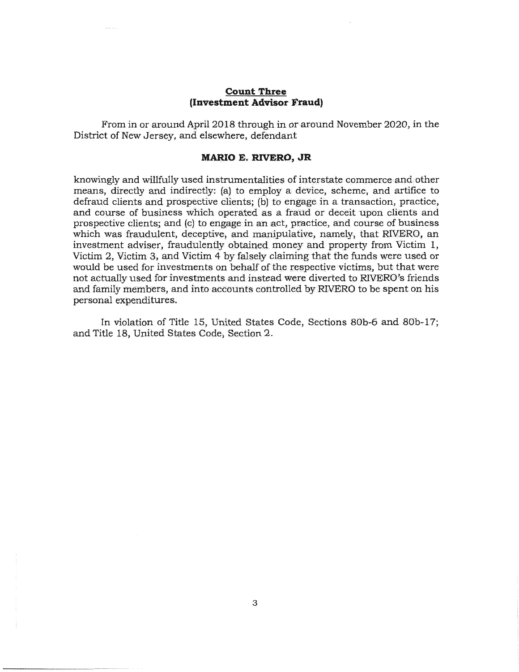# **Count Three (Investment Advisor Fraud)**

From in or around April 2018 through in or around November 2020, in the District of New Jersey, and elsewhere, defendant

#### **MARIO E. RIVERO, JR**

knowingly and willfully used instrumentalities of intepstate commerce and;other means, directly and indirectly: (a) to employ a device, scheme, and artifice to defraud clients and prospective clients; (b) to engage in a transaction, practice, and course of business which operated as a fraud or deceit upon clients and prospective clients; and (c) to engage in an act, practice, and course of business which was fraudulent, deceptive, and manipulative, namely, that RIVERO, an investment adviser, fraudulently obtained money and property from Victim 1, Victim 2, Victim 3, and Victim 4 by falsely claiming that the funds were used or would be used for investments on behalf of the respective victims, but that were not actually used for investments and instead were diverted to RIVERO's friends and family members, and into accounts controlled by RIVERO to be spent on his personal expenditures.

In violation of Title 15, United States Code, Sections 80b-6 and 80b-17; and Title 18, United States Gode, Section 2.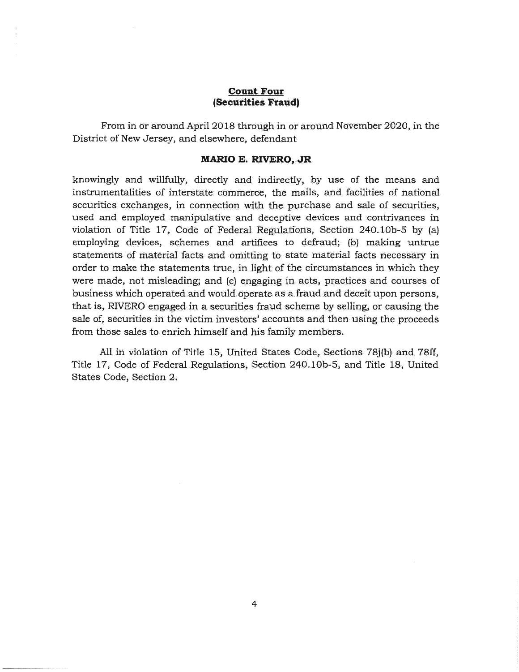# **Count Four (Securities Frauct)**

From in or around April 2018 through in or around November 2020, in the District of New Jersey, and elsewhere, defendant

## **MARIO E. RIVERO, JR**

knowingly and willfully, directly and indirectly, by use of the means and instrumentalities of interstate commerce, the mails, and facilities of national securities exchanges, in connection with the purchase and sale of securities, used and employed manipulative and deceptive devices and contrivances in violation of Title 17, Code of Federal Regulations, Section 240.10b-5 by (a) employing devices, schemes and artifices to defraud; (b) making untrue statements of material facts and omitting to state material facts necessary in order to make the statements true, in light of the eircumstances in which they were made, not misleading; and (c) engaging in acts, practices and courses of business which operated and would operate as a fraud and deceit upon persons, that is, RIVERO engaged in a securities fraud scheme by selling, or causing the sale of, securities in the victim investors' accounts and then using the proceeds from those sales to enrich himself and his family members.

All in violation of Title 15, United States Code, Sections 78j(b) and 78ff, Title 17, Code of Federal Regulations, Section 240.10b-5, and Title 18, United States Gode, Seetion 2.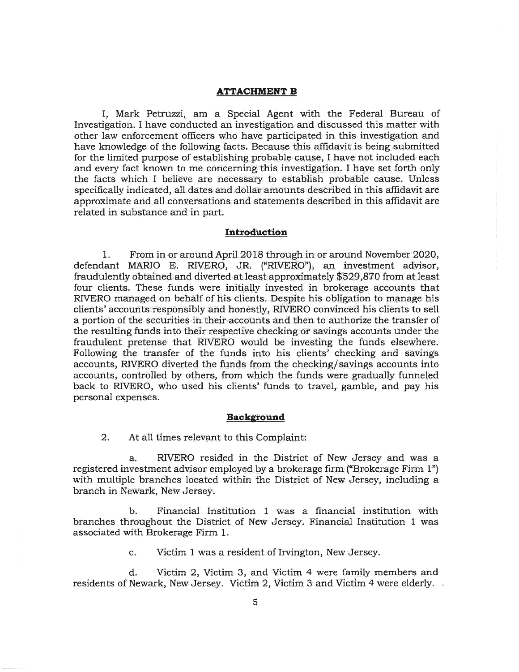#### **ATTACHMENT B**

I, Mark Petruzzi, am a Special Agent with the Federal Bureau of Investigation. I have conducted an investigation and discussed this matter with other law enforcement officers who have participated in this investigation and have knowledge of the following facts. Because this affidavit is being submitted for the limited purpose of establishing probable cause, I have not included each and every fact known to me concerning this investigation. I have set forth only the facts which I believe are necessary to establish probable cause. Unless specifically indicated, all dates and dollar amounts described in this affidavit are approximate and all conversations and statements described in this affidavit are related in substance and in part.

### **Introduction**

1. From in or around April 2018 through in or around November 2020, defendant MARIO E. RIVERO, JR. ("RIVERO"), an investment advisor, fraudulently obtained and diverted at least approximately \$529,870 from at least four clients. These funds were initially invested in brokerage accounts that RIVERO managed on behalf of his clients. Despite his obligation to manage his clients' accounts responsibly and honestly, RIVERO convinced his clients to sell a portion of the securities in their accounts and then to authorize the transfer of the resulting funds into their respective checking or savings accounts under the fraudulent pretense that RIVERO would be investing the funds elsewhere. Following the transfer of the funds into his clients' checking and savings accounts, RIVERO diverted the funds from the checking/savings accounts into accounts, controlled by others, from which the funds were gradually funneled back to RIVERO, who used his clients' funds to travel, gamble, and pay his personal expenses.

#### **Background**

2. At all times relevant to this Complaint:

a. RIVERO resided in the District of New Jersey and was a registered investment advisor employed by a brokerage firm ("Brokerage Firm 1") with multiple branches located within the District of New Jersey, including a branch in Newark, New Jersey.

b. Financial Institution l was a financial institution with branches throughout the District of New Jersey. Financial Institution 1 was associated with Brokerage Fitm l.

c. Victim 1 was a resident of Irvington, New Jersey.

d. Victim 2, Victim 3, and Victim 4 were family members and residents of Newark, New Jersey. Victim 2, Victim 3 and Victim 4 were elderly.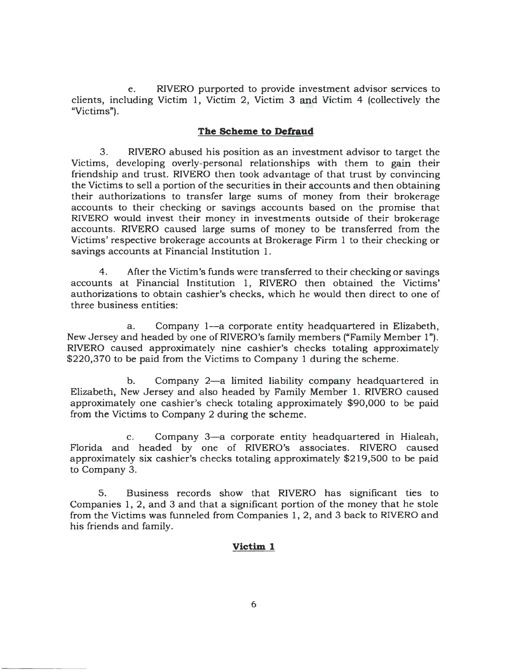e. RIVERO purported to provide investment advisor services to clients, including Victim 1, Victim 2, Victim 3 and Victim 4 (collectively the "Victims").

# **The Scheme to Defraud**

3. RIVERO abused his position as an investment advisor to target the Victims, developing overly-personal relationships with them to gain their friendship and trust. RIVERO then took advantage of that trust by convincing the Victims to sell a portion of the securities in their accounts and then obtaining their authorizations to transfer large sums of money from their brokerage accounts to their checking or savings accounts based on the promise that *RNERO* would invest their money in investments outside of their brokerage accounts. RIVERO caused large sums of money to be transferred from the Victims' respective brokerage accounts at Brokerage Firm 1 to their checking or savings accounts at Financial Institution 1.

4. After the Victim's funds were transferred to their checking or savings accounts at Financial Institution 1, RIVERO then obtained the Victims' authorizations to obtain cashier's checks, which he would then direct to one of three business entities:

a. Company 1-a corporate entity headquartered in Elizabeth, New Jersey and headed by one of RIVERO's family members ("Family Member l"). RIVERO caused approximately nine cashier's checks totaling approximately \$220,370 to be paid from the Victims to Company 1 during the scheme.

b. Company 2-a limited liability company headquartered in Elizabeth, New Jersey and also headed by Family Member 1. RIVERO caused approximately one cashier's check totaling approximately \$90,000 to be paid from the Victims to Company 2 during the scheme.

c. Company 3-a corporate entity headquartered in Hialeah, Florida and headed by one of RIVERO's associates. RIVERO caused approximately six cashier's checks totaling approximately \$219,500 to be paid to Company 3.

5. Business records show that RIVERO has significant ties to Companies 1, 2, and 3 and that a significant portion of the money that he stole from the Victims was funneled from Companies 1, 2, and 3 back to RIVERO and his friends and family.

# **Victim 1**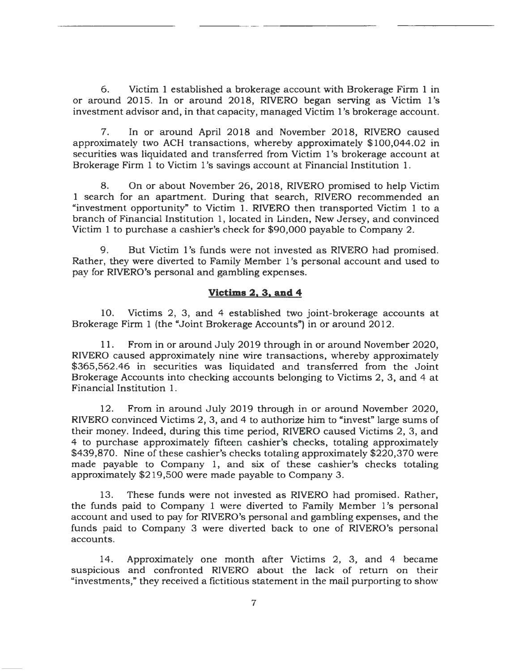6. Victim 1 established a brokerage account with Brokerage Firm 1 in or around 2015. In or around 2018, RIVERO began serving as Victim l's investment advisor and, in that capacity, managed Victim 1 's brokerage account.

7. In or around April 2018 and November 2018, RIVERO caused approximately two ACH transactions, whereby approximately \$100,044.02 in securities was liquidated and transferred from Victim 1's brokerage account at Brokerage Firm 1 to Victim l's savings account at Financial Institution 1.

8. On or about November 26, 2018, RIVERO promised to help Victim 1 search for an apartment. During that search, RIVERO recommended an "investment opportunity" to Victim 1. RIVERO then transported Victim 1 to a branch of Financial Institution 1, located in Linden, New Jersey, and convinced Victim 1 to purchase a cashier's check for \$90,000 payable to Company 2.

9. But Victim l's funds were not invested as RIVERO had promised. Rather, they were diverted to Family Member l's personal account and used to pay for RIVERO's personal and gambling expenses.

# **Victims 2, 3, and 4**

10. Victims 2, 3, and 4 established two joint-brokerage accounts at Brokerage Firm 1 (the "Joint Brokerage Accounts") in or around 2012.

11. From in or around July 2019 through in or around November 2020, RIVERO caused approximately nine wire transactions, whereby approximately \$365,562.46 in securities was liquidated and transferred from the Joint Brokerage Accounts into checking accounts belonging to Victims 2, 3, and 4 at Financial Institution 1.

12. From in around July 2019 through in or around November 2020, RIVERO convinced Victims 2, 3, and 4 to authorize him to "invest'' large sums of their money. Indeed, during this time period, RIVERO caused Victims 2, 3, and 4 to purchase approximately fifteen cashier's checks, totaling approximately \$439,870. Nine of these cashier's checks totaling approximately \$220,370 were made payable to Company 1, and six of these cashier's checks totaling approximately \$219,500 were made payable to Company 3.

13. These funds were not invested as RIVERO had promised. Rather, the funds paid to Company 1 were diverted to Family Member l's personal account and used to pay for RIVERO's personal and gambling expenses, and the funds paid to Company 3 were diverted back to one of RIVERO's personal accounts.

14. Approximately one month after Victims 2, 3, and 4 became suspicious and confronted RIVERO about the lack of return on their "investments," they received a fictitious statement in the mail purporting to show